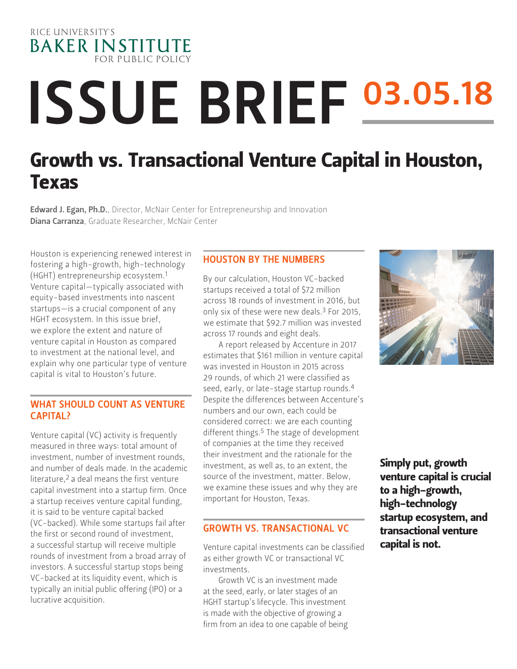

# ISSUE BRIEF 03.05.18 Growth vs. Transactional Venture Capital in Houston,

Edward J. Egan, Ph.D.[, Director, McNair Center for Entrepreneurship and Innovation](https://www.bakerinstitute.org/experts/edward-j-egan/) Diana Carranza, Graduate Researcher, McNair Center

Houston is experiencing renewed interest in fostering a high-growth, high-technology (HGHT) entrepreneurship ecosystem.1 Venture capital—typically associated with equity-based investments into nascent startups—is a crucial component of any HGHT ecosystem. In this issue brief, we explore the extent and nature of venture capital in Houston as compared to investment at the national level, and explain why one particular type of venture capital is vital to Houston's future.

Texas

## WHAT SHOULD COUNT AS VENTURE CAPITAL?

Venture capital (VC) activity is frequently measured in three ways: total amount of investment, number of investment rounds, and number of deals made. In the academic literature,2 a deal means the first venture capital investment into a startup firm. Once a startup receives venture capital funding, it is said to be venture capital backed (VC-backed). While some startups fail after the first or second round of investment, a successful startup will receive multiple rounds of investment from a broad array of investors. A successful startup stops being VC-backed at its liquidity event, which is typically an initial public offering (IPO) or a lucrative acquisition.

## HOUSTON BY THE NUMBERS

By our calculation, Houston VC-backed startups received a total of \$72 million across 18 rounds of investment in 2016, but only six of these were new deals.3 For 2015, we estimate that \$92.7 million was invested across 17 rounds and eight deals.

A report released by Accenture in 2017 estimates that \$161 million in venture capital was invested in Houston in 2015 across 29 rounds, of which 21 were classified as seed, early, or late-stage startup rounds.4 Despite the differences between Accenture's numbers and our own, each could be considered correct: we are each counting different things.<sup>5</sup> The stage of development of companies at the time they received their investment and the rationale for the investment, as well as, to an extent, the source of the investment, matter. Below, we examine these issues and why they are important for Houston, Texas.

## GROWTH VS. TRANSACTIONAL VC

Venture capital investments can be classified as either growth VC or transactional VC investments.

Growth VC is an investment made at the seed, early, or later stages of an HGHT startup's lifecycle. This investment is made with the objective of growing a firm from an idea to one capable of being



Simply put, growth venture capital is crucial to a high-growth, high-technology startup ecosystem, and transactional venture capital is not.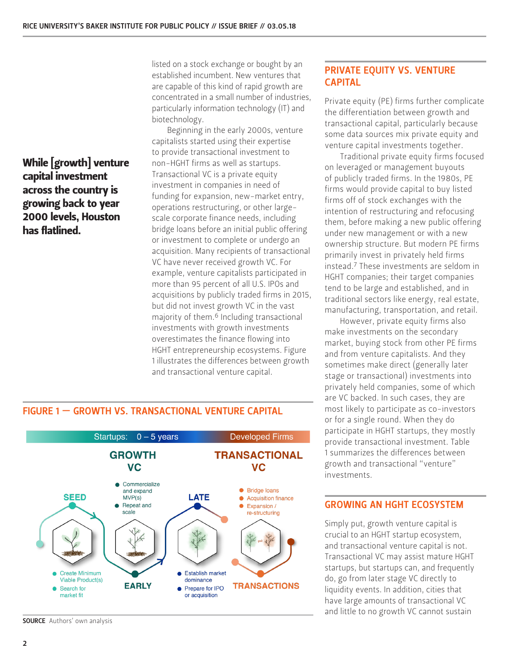While [growth] venture capital investment across the country is growing back to year 2000 levels, Houston has flatlined.

listed on a stock exchange or bought by an established incumbent. New ventures that are capable of this kind of rapid growth are concentrated in a small number of industries, particularly information technology (IT) and biotechnology.

Beginning in the early 2000s, venture capitalists started using their expertise to provide transactional investment to non-HGHT firms as well as startups. Transactional VC is a private equity investment in companies in need of funding for expansion, new-market entry, operations restructuring, or other largescale corporate finance needs, including bridge loans before an initial public offering or investment to complete or undergo an acquisition. Many recipients of transactional VC have never received growth VC. For example, venture capitalists participated in more than 95 percent of all U.S. IPOs and acquisitions by publicly traded firms in 2015, but did not invest growth VC in the vast majority of them.6 Including transactional investments with growth investments overestimates the finance flowing into HGHT entrepreneurship ecosystems. Figure 1 illustrates the differences between growth and transactional venture capital.

## PRIVATE EQUITY VS. VENTURE CAPITAL

Private equity (PE) firms further complicate the differentiation between growth and transactional capital, particularly because some data sources mix private equity and venture capital investments together.

Traditional private equity firms focused on leveraged or management buyouts of publicly traded firms. In the 1980s, PE firms would provide capital to buy listed firms off of stock exchanges with the intention of restructuring and refocusing them, before making a new public offering under new management or with a new ownership structure. But modern PE firms primarily invest in privately held firms instead.7 These investments are seldom in HGHT companies; their target companies tend to be large and established, and in traditional sectors like energy, real estate, manufacturing, transportation, and retail.

However, private equity firms also make investments on the secondary market, buying stock from other PE firms and from venture capitalists. And they sometimes make direct (generally later stage or transactional) investments into privately held companies, some of which are VC backed. In such cases, they are most likely to participate as co-investors or for a single round. When they do participate in HGHT startups, they mostly provide transactional investment. Table 1 summarizes the differences between growth and transactional "venture" investments.

## GROWING AN HGHT ECOSYSTEM

Simply put, growth venture capital is crucial to an HGHT startup ecosystem, and transactional venture capital is not. Transactional VC may assist mature HGHT startups, but startups can, and frequently do, go from later stage VC directly to liquidity events. In addition, cities that have large amounts of transactional VC and little to no growth VC cannot sustain

#### Startups:  $0 - 5$  years **Developed Firms GROWTH TRANSACTIONAL VC** VC.  $\bullet$  Commercialize • Bridge loans and expand **SEED LATE**  $MVP(s)$ ● Acquisition finance • Repeat and • Expansion / scale re-structuring Create Minimum **Establish market** Viable Product(s) dominance **EARLY TRANSACTIONS** Prepare for IPO • Search for or acquisition market fit

**SOURCE** Authors' own analysis

## FIGURE 1 — GROWTH VS. TRANSACTIONAL VENTURE CAPITAL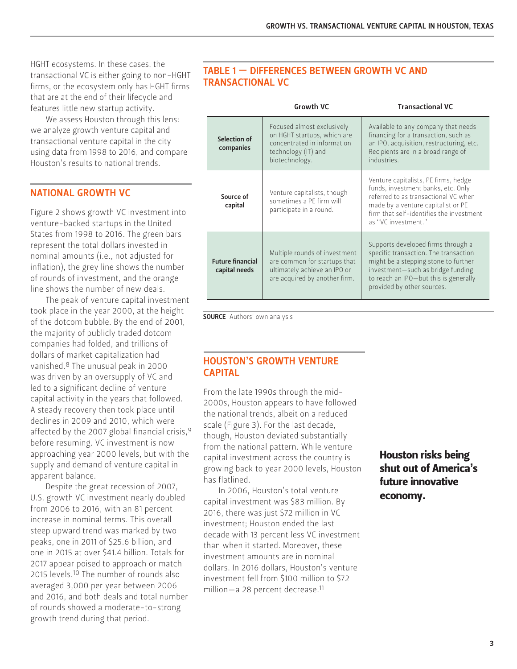HGHT ecosystems. In these cases, the transactional VC is either going to non-HGHT firms, or the ecosystem only has HGHT firms that are at the end of their lifecycle and features little new startup activity.

We assess Houston through this lens: we analyze growth venture capital and transactional venture capital in the city using data from 1998 to 2016, and compare Houston's results to national trends.

## NATIONAL GROWTH VC

Figure 2 shows growth VC investment into venture-backed startups in the United States from 1998 to 2016. The green bars represent the total dollars invested in nominal amounts (i.e., not adjusted for inflation), the grey line shows the number of rounds of investment, and the orange line shows the number of new deals.

The peak of venture capital investment took place in the year 2000, at the height of the dotcom bubble. By the end of 2001, the majority of publicly traded dotcom companies had folded, and trillions of dollars of market capitalization had vanished.8 The unusual peak in 2000 was driven by an oversupply of VC and led to a significant decline of venture capital activity in the years that followed. A steady recovery then took place until declines in 2009 and 2010, which were affected by the 2007 global financial crisis, 9 before resuming. VC investment is now approaching year 2000 levels, but with the supply and demand of venture capital in apparent balance.

Despite the great recession of 2007, U.S. growth VC investment nearly doubled from 2006 to 2016, with an 81 percent increase in nominal terms. This overall steep upward trend was marked by two peaks, one in 2011 of \$25.6 billion, and one in 2015 at over \$41.4 billion. Totals for 2017 appear poised to approach or match 2015 levels.10 The number of rounds also averaged 3,000 per year between 2006 and 2016, and both deals and total number of rounds showed a moderate-to-strong growth trend during that period.

## TABLE 1 — DIFFERENCES BETWEEN GROWTH VC AND TRANSACTIONAL VC

|  |                                          | <b>Growth VC</b>                                                                                                                  | <b>Transactional VC</b>                                                                                                                                                                                                         |
|--|------------------------------------------|-----------------------------------------------------------------------------------------------------------------------------------|---------------------------------------------------------------------------------------------------------------------------------------------------------------------------------------------------------------------------------|
|  | Selection of<br>companies                | Focused almost exclusively<br>on HGHT startups, which are<br>concentrated in information<br>technology (IT) and<br>biotechnology. | Available to any company that needs<br>financing for a transaction, such as<br>an IPO, acquisition, restructuring, etc.<br>Recipients are in a broad range of<br>industries.                                                    |
|  | Source of<br>capital                     | Venture capitalists, though<br>sometimes a PE firm will<br>participate in a round.                                                | Venture capitalists, PE firms, hedge<br>funds, investment banks, etc. Only<br>referred to as transactional VC when<br>made by a venture capitalist or PE<br>firm that self-identifies the investment<br>as "VC investment."     |
|  | <b>Future financial</b><br>capital needs | Multiple rounds of investment<br>are common for startups that<br>ultimately achieve an IPO or<br>are acquired by another firm.    | Supports developed firms through a<br>specific transaction. The transaction<br>might be a stepping stone to further<br>investment-such as bridge funding<br>to reach an IPO-but this is generally<br>provided by other sources. |

**SOURCE** Authors' own analysis

## HOUSTON'S GROWTH VENTURE CAPITAL

From the late 1990s through the mid-2000s, Houston appears to have followed the national trends, albeit on a reduced scale (Figure 3). For the last decade, though, Houston deviated substantially from the national pattern. While venture capital investment across the country is growing back to year 2000 levels, Houston has flatlined.

In 2006, Houston's total venture capital investment was \$83 million. By 2016, there was just \$72 million in VC investment; Houston ended the last decade with 13 percent less VC investment than when it started. Moreover, these investment amounts are in nominal dollars. In 2016 dollars, Houston's venture investment fell from \$100 million to \$72 million—a 28 percent decrease.11

## Houston risks being shut out of America's future innovative economy.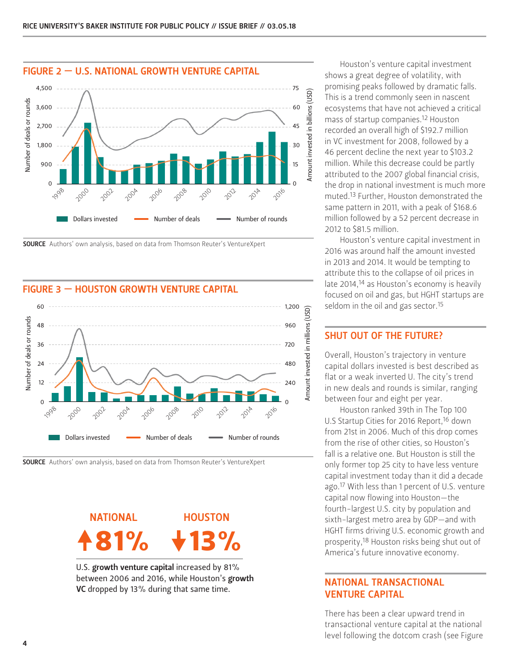

SOURCE Authors' own analysis, based on data from Thomson Reuter's VentureXpert

## FIGURE 3 — HOUSTON GROWTH VENTURE CAPITAL







U.S. growth venture capital increased by 81% between 2006 and 2016, while Houston's growth VC dropped by 13% during that same time.

Houston's venture capital investment shows a great degree of volatility, with promising peaks followed by dramatic falls. This is a trend commonly seen in nascent ecosystems that have not achieved a critical mass of startup companies.12 Houston recorded an overall high of \$192.7 million in VC investment for 2008, followed by a 46 percent decline the next year to \$103.2 million. While this decrease could be partly attributed to the 2007 global financial crisis, the drop in national investment is much more muted.13 Further, Houston demonstrated the same pattern in 2011, with a peak of \$168.6 million followed by a 52 percent decrease in 2012 to \$81.5 million.

Houston's venture capital investment in 2016 was around half the amount invested in 2013 and 2014. It would be tempting to attribute this to the collapse of oil prices in late 2014,<sup>14</sup> as Houston's economy is heavily focused on oil and gas, but HGHT startups are seldom in the oil and gas sector.<sup>15</sup>

# SHUT OUT OF THE FUTURE?

Overall, Houston's trajectory in venture capital dollars invested is best described as flat or a weak inverted U. The city's trend in new deals and rounds is similar, ranging between four and eight per year.

Houston ranked 39th in The Top 100 U.S Startup Cities for 2016 Report,<sup>16</sup> down from 21st in 2006. Much of this drop comes from the rise of other cities, so Houston's fall is a relative one. But Houston is still the only former top 25 city to have less venture capital investment today than it did a decade ago.17 With less than 1 percent of U.S. venture capital now flowing into Houston—the fourth-largest U.S. city by population and sixth-largest metro area by GDP—and with HGHT firms driving U.S. economic growth and prosperity,18 Houston risks being shut out of America's future innovative economy.

## NATIONAL TRANSACTIONAL VENTURE CAPITAL

There has been a clear upward trend in transactional venture capital at the national level following the dotcom crash (see Figure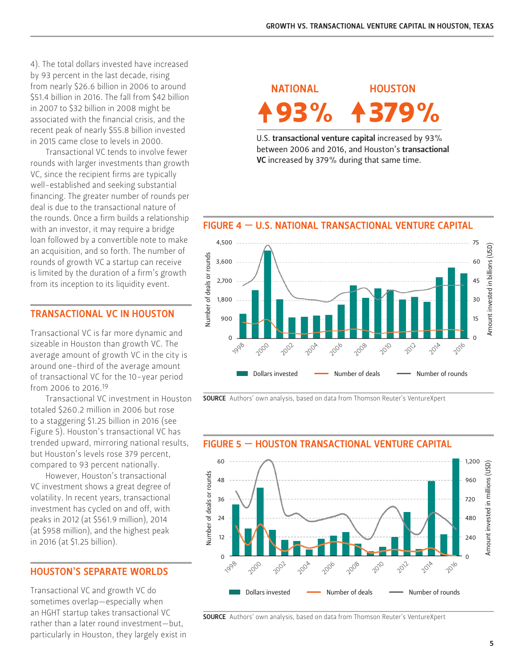4). The total dollars invested have increased by 93 percent in the last decade, rising from nearly \$26.6 billion in 2006 to around \$51.4 billion in 2016. The fall from \$42 billion in 2007 to \$32 billion in 2008 might be associated with the financial crisis, and the recent peak of nearly \$55.8 billion invested in 2015 came close to levels in 2000.

Transactional VC tends to involve fewer rounds with larger investments than growth VC, since the recipient firms are typically well-established and seeking substantial financing. The greater number of rounds per deal is due to the transactional nature of the rounds. Once a firm builds a relationship with an investor, it may require a bridge loan followed by a convertible note to make an acquisition, and so forth. The number of rounds of growth VC a startup can receive is limited by the duration of a firm's growth from its inception to its liquidity event.

## TRANSACTIONAL VC IN HOUSTON

Transactional VC is far more dynamic and sizeable in Houston than growth VC. The average amount of growth VC in the city is around one-third of the average amount of transactional VC for the 10-year period from 2006 to 2016.19

Transactional VC investment in Houston totaled \$260.2 million in 2006 but rose to a staggering \$1.25 billion in 2016 (see Figure 5). Houston's transactional VC has trended upward, mirroring national results, but Houston's levels rose 379 percent, compared to 93 percent nationally.

However, Houston's transactional VC investment shows a great degree of volatility. In recent years, transactional investment has cycled on and off, with peaks in 2012 (at \$561.9 million), 2014 (at \$958 million), and the highest peak in 2016 (at \$1.25 billion).

## HOUSTON'S SEPARATE WORLDS

Transactional VC and growth VC do sometimes overlap—especially when an HGHT startup takes transactional VC rather than a later round investment—but, particularly in Houston, they largely exist in

93% 4379% NATIONAL HOUSTON

U.S. transactional venture capital increased by 93% between 2006 and 2016, and Houston's transactional VC increased by 379% during that same time.

## FIGURE 4 — U.S. NATIONAL TRANSACTIONAL VENTURE CAPITAL



SOURCE Authors' own analysis, based on data from Thomson Reuter's VentureXpert



**SOURCE** Authors' own analysis, based on data from Thomson Reuter's VentureXpert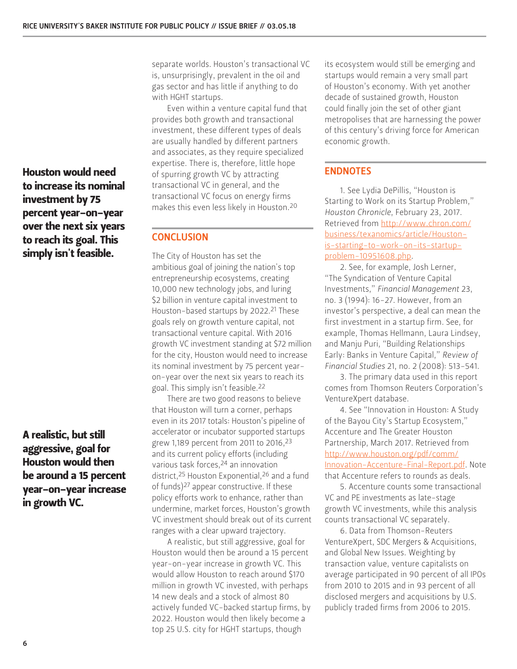Houston would need to increase its nominal investment by 75 percent year-on-year over the next six years to reach its goal. This simply isn't feasible.

A realistic, but still aggressive, goal for Houston would then be around a 15 percent year-on-year increase in growth VC.

separate worlds. Houston's transactional VC is, unsurprisingly, prevalent in the oil and gas sector and has little if anything to do with HGHT startups.

Even within a venture capital fund that provides both growth and transactional investment, these different types of deals are usually handled by different partners and associates, as they require specialized expertise. There is, therefore, little hope of spurring growth VC by attracting transactional VC in general, and the transactional VC focus on energy firms makes this even less likely in Houston.20

## **CONCLUSION**

The City of Houston has set the ambitious goal of joining the nation's top entrepreneurship ecosystems, creating 10,000 new technology jobs, and luring \$2 billion in venture capital investment to Houston-based startups by 2022.21 These goals rely on growth venture capital, not transactional venture capital. With 2016 growth VC investment standing at \$72 million for the city, Houston would need to increase its nominal investment by 75 percent yearon-year over the next six years to reach its goal. This simply isn't feasible.22

There are two good reasons to believe that Houston will turn a corner, perhaps even in its 2017 totals: Houston's pipeline of accelerator or incubator supported startups grew 1,189 percent from 2011 to 2016,23 and its current policy efforts (including various task forces, <sup>24</sup> an innovation district,25 Houston Exponential,26 and a fund of funds)27 appear constructive. If these policy efforts work to enhance, rather than undermine, market forces, Houston's growth VC investment should break out of its current ranges with a clear upward trajectory.

A realistic, but still aggressive, goal for Houston would then be around a 15 percent year-on-year increase in growth VC. This would allow Houston to reach around \$170 million in growth VC invested, with perhaps 14 new deals and a stock of almost 80 actively funded VC-backed startup firms, by 2022. Houston would then likely become a top 25 U.S. city for HGHT startups, though

its ecosystem would still be emerging and startups would remain a very small part of Houston's economy. With yet another decade of sustained growth, Houston could finally join the set of other giant metropolises that are harnessing the power of this century's driving force for American economic growth.

## ENDNOTES

1. See Lydia DePillis, "Houston is Starting to Work on its Startup Problem," *Houston Chronicle*, February 23, 2017. Retrieved from [http://www.chron.com/](http://www.chron.com/business/texanomics/article/Houston-is-starting-to-work-on-its-startup-problem-10951608.php) [business/texanomics/article/Houston](http://www.chron.com/business/texanomics/article/Houston-is-starting-to-work-on-its-startup-problem-10951608.php)[is-starting-to-work-on-its-startup](http://www.chron.com/business/texanomics/article/Houston-is-starting-to-work-on-its-startup-problem-10951608.php)[problem-10951608.php](http://www.chron.com/business/texanomics/article/Houston-is-starting-to-work-on-its-startup-problem-10951608.php).

2. See, for example, Josh Lerner, "The Syndication of Venture Capital Investments," *Financial Management* 23, no. 3 (1994): 16-27. However, from an investor's perspective, a deal can mean the first investment in a startup firm. See, for example, Thomas Hellmann, Laura Lindsey, and Manju Puri, "Building Relationships Early: Banks in Venture Capital," *Review of Financial Studies* 21, no. 2 (2008): 513-541.

3. The primary data used in this report comes from Thomson Reuters Corporation's VentureXpert database.

4. See "Innovation in Houston: A Study of the Bayou City's Startup Ecosystem," Accenture and The Greater Houston Partnership, March 2017. Retrieved from [http://www.houston.org/pdf/comm/](http://www.houston.org/pdf/comm/Innovation-Accenture-Final-Report.pdf) [Innovation-Accenture-Final-Report.pdf.](http://www.houston.org/pdf/comm/Innovation-Accenture-Final-Report.pdf) Note that Accenture refers to rounds as deals.

5. Accenture counts some transactional VC and PE investments as late-stage growth VC investments, while this analysis counts transactional VC separately.

6. Data from Thomson-Reuters VentureXpert, SDC Mergers & Acquisitions, and Global New Issues. Weighting by transaction value, venture capitalists on average participated in 90 percent of all IPOs from 2010 to 2015 and in 93 percent of all disclosed mergers and acquisitions by U.S. publicly traded firms from 2006 to 2015.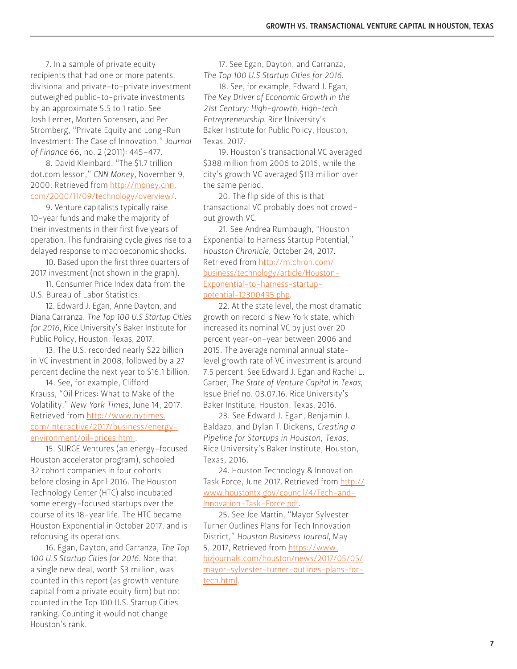7. In a sample of private equity recipients that had one or more patents, divisional and private-to-private investment outweighed public-to-private investments by an approximate 5.5 to 1 ratio. See Josh Lerner, Morten Sorensen, and Per Stromberg, "Private Equity and Long-Run Investment: The Case of Innovation," *Journal of Finance* 66, no. 2 (2011): 445–477.

8. David Kleinbard, "The \$1.7 trillion dot.com lesson," *CNN Money*, November 9, 2000. Retrieved from [http://money.cnn.](http://money.cnn.com/2000/11/09/technology/overview/) [com/2000/11/09/technology/overview/.](http://money.cnn.com/2000/11/09/technology/overview/)

9. Venture capitalists typically raise 10-year funds and make the majority of their investments in their first five years of operation. This fundraising cycle gives rise to a delayed response to macroeconomic shocks.

10. Based upon the first three quarters of 2017 investment (not shown in the graph).

11. Consumer Price Index data from the U.S. Bureau of Labor Statistics.

12. Edward J. Egan, Anne Dayton, and Diana Carranza, *The Top 100 U.S Startup Cities for 2016*, Rice University's Baker Institute for Public Policy, Houston, Texas, 2017.

13. The U.S. recorded nearly \$22 billion in VC investment in 2008, followed by a 27 percent decline the next year to \$16.1 billion.

14. See, for example, Clifford Krauss, "Oil Prices: What to Make of the Volatility," *New York Times*, June 14, 2017. Retrieved from [http://www.nytimes.](http://www.nytimes.com/interactive/2017/business/energy-environment/oil-prices.html) [com/interactive/2017/business/energy](http://www.nytimes.com/interactive/2017/business/energy-environment/oil-prices.html)[environment/oil-prices.html.](http://www.nytimes.com/interactive/2017/business/energy-environment/oil-prices.html)

15. SURGE Ventures (an energy-focused Houston accelerator program), schooled 32 cohort companies in four cohorts before closing in April 2016. The Houston Technology Center (HTC) also incubated some energy-focused startups over the course of its 18-year life. The HTC became Houston Exponential in October 2017, and is refocusing its operations.

16. Egan, Dayton, and Carranza, *The Top 100 U.S Startup Cities for 2016*. Note that a single new deal, worth \$3 million, was counted in this report (as growth venture capital from a private equity firm) but not counted in the Top 100 U.S. Startup Cities ranking. Counting it would not change Houston's rank.

17. See Egan, Dayton, and Carranza, *The Top 100 U.S Startup Cities for 2016*.

18. See, for example, Edward J. Egan, *The Key Driver of Economic Growth in the 21st Century: High-growth, High-tech Entrepreneurship*. Rice University's Baker Institute for Public Policy, Houston, Texas, 2017.

19. Houston's transactional VC averaged \$388 million from 2006 to 2016, while the city's growth VC averaged \$113 million over the same period.

20. The flip side of this is that transactional VC probably does not crowdout growth VC.

21. See Andrea Rumbaugh, "Houston Exponential to Harness Startup Potential," *Houston Chronicle*, October 24, 2017. Retrieved from [http://m.chron.com/](http://m.chron.com/business/technology/article/Houston-Exponential-to-harness-startup-potential-12300495.php) [business/technology/article/Houston-](http://m.chron.com/business/technology/article/Houston-Exponential-to-harness-startup-potential-12300495.php)[Exponential-to-harness-startup](http://m.chron.com/business/technology/article/Houston-Exponential-to-harness-startup-potential-12300495.php)[potential-12300495.php](http://m.chron.com/business/technology/article/Houston-Exponential-to-harness-startup-potential-12300495.php).

22. At the state level, the most dramatic growth on record is New York state, which increased its nominal VC by just over 20 percent year-on-year between 2006 and 2015. The average nominal annual statelevel growth rate of VC investment is around 7.5 percent. See Edward J. Egan and Rachel L. Garber, *The State of Venture Capital in Texas*, Issue Brief no. 03.07.16. Rice University's Baker Institute, Houston, Texas, 2016.

23. See Edward J. Egan, Benjamin J. Baldazo, and Dylan T. Dickens, *Creating a Pipeline for Startups in Houston, Texas*, Rice University's Baker Institute, Houston, Texas, 2016.

24. Houston Technology & Innovation Task Force, June 2017. Retrieved from [http://](http://www.houstontx.gov/council/4/Tech-and-Innovation-Task-Force.pdf) [www.houstontx.gov/council/4/Tech-and-](http://www.houstontx.gov/council/4/Tech-and-Innovation-Task-Force.pdf)[Innovation-Task-Force.pdf.](http://www.houstontx.gov/council/4/Tech-and-Innovation-Task-Force.pdf)

25. See Joe Martin, "Mayor Sylvester Turner Outlines Plans for Tech Innovation District," *Houston Business Journal*, May 5, 2017, Retrieved from [https://www.](https://www.bizjournals.com/houston/news/2017/05/05/mayor-sylvester-turner-outlines-plans-for-tech.html) [bizjournals.com/houston/news/2017/05/05/](https://www.bizjournals.com/houston/news/2017/05/05/mayor-sylvester-turner-outlines-plans-for-tech.html) [mayor-sylvester-turner-outlines-plans-for](https://www.bizjournals.com/houston/news/2017/05/05/mayor-sylvester-turner-outlines-plans-for-tech.html)[tech.html](https://www.bizjournals.com/houston/news/2017/05/05/mayor-sylvester-turner-outlines-plans-for-tech.html).